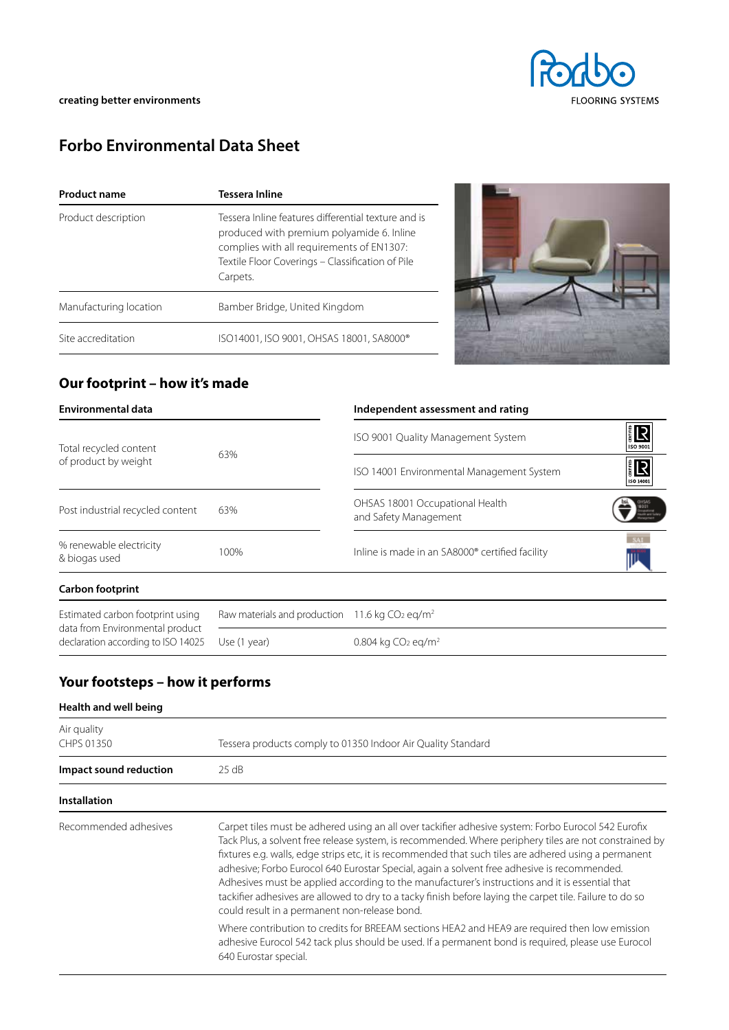# **Forbo Environmental Data Sheet**

| <b>Product name</b>    | <b>Tessera Inline</b>                                                                                                                                                                                         |  |
|------------------------|---------------------------------------------------------------------------------------------------------------------------------------------------------------------------------------------------------------|--|
| Product description    | Tessera Inline features differential texture and is<br>produced with premium polyamide 6. Inline<br>complies with all requirements of EN1307:<br>Textile Floor Coverings - Classification of Pile<br>Carpets. |  |
| Manufacturing location | Bamber Bridge, United Kingdom                                                                                                                                                                                 |  |
| Site accreditation     | ISO14001, ISO 9001, OHSAS 18001, SA8000®                                                                                                                                                                      |  |



## **Our footprint – how it's made**

| <b>Environmental data</b>                                             |                                                              | Independent assessment and rating                        |                         |  |
|-----------------------------------------------------------------------|--------------------------------------------------------------|----------------------------------------------------------|-------------------------|--|
| Total recycled content<br>of product by weight                        | 63%                                                          | ISO 9001 Quality Management System                       | 】<br>【<br>ISO 9001      |  |
|                                                                       |                                                              | ISO 14001 Environmental Management System                | ISO 14001               |  |
| Post industrial recycled content                                      | 63%                                                          | OHSAS 18001 Occupational Health<br>and Safety Management | 8001<br>suite and Sales |  |
| % renewable electricity<br>& biogas used                              | 100%                                                         | Inline is made in an SA8000® certified facility          |                         |  |
| <b>Carbon footprint</b>                                               |                                                              |                                                          |                         |  |
| Estimated carbon footprint using                                      | Raw materials and production 11.6 kg $CO2$ eg/m <sup>2</sup> |                                                          |                         |  |
| data from Environmental product<br>declaration according to ISO 14025 | Use (1 year)                                                 | 0.804 kg $CO2$ eg/m <sup>2</sup>                         |                         |  |

# **Your footsteps – how it performs**

| Health and well being     |                                                                                                                                                                                                                                                                                                                                                                                                                                                                                                                                                                                                                                                                                                                                                                                                                                                                                                                        |
|---------------------------|------------------------------------------------------------------------------------------------------------------------------------------------------------------------------------------------------------------------------------------------------------------------------------------------------------------------------------------------------------------------------------------------------------------------------------------------------------------------------------------------------------------------------------------------------------------------------------------------------------------------------------------------------------------------------------------------------------------------------------------------------------------------------------------------------------------------------------------------------------------------------------------------------------------------|
| Air quality<br>CHPS 01350 | Tessera products comply to 01350 Indoor Air Quality Standard                                                                                                                                                                                                                                                                                                                                                                                                                                                                                                                                                                                                                                                                                                                                                                                                                                                           |
| Impact sound reduction    | 25 dB                                                                                                                                                                                                                                                                                                                                                                                                                                                                                                                                                                                                                                                                                                                                                                                                                                                                                                                  |
| <b>Installation</b>       |                                                                                                                                                                                                                                                                                                                                                                                                                                                                                                                                                                                                                                                                                                                                                                                                                                                                                                                        |
| Recommended adhesives     | Carpet tiles must be adhered using an all over tackifier adhesive system: Forbo Eurocol 542 Eurofix<br>Tack Plus, a solvent free release system, is recommended. Where periphery tiles are not constrained by<br>fixtures e.g. walls, edge strips etc, it is recommended that such tiles are adhered using a permanent<br>adhesive; Forbo Eurocol 640 Eurostar Special, again a solvent free adhesive is recommended.<br>Adhesives must be applied according to the manufacturer's instructions and it is essential that<br>tackifier adhesives are allowed to dry to a tacky finish before laying the carpet tile. Failure to do so<br>could result in a permanent non-release bond.<br>Where contribution to credits for BREEAM sections HEA2 and HEA9 are required then low emission<br>adhesive Eurocol 542 tack plus should be used. If a permanent bond is required, please use Eurocol<br>640 Eurostar special. |